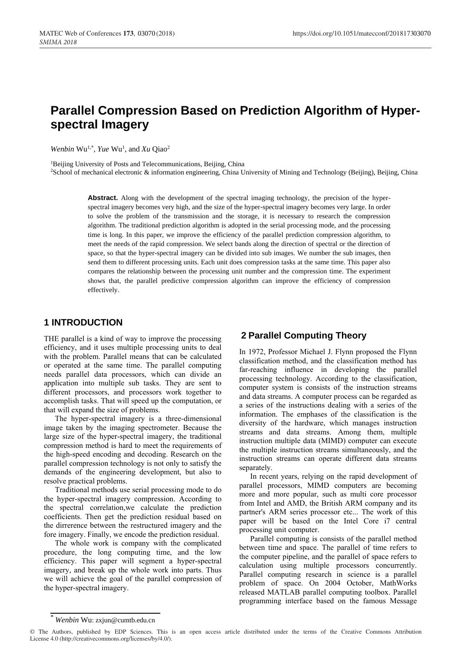# **Parallel Compression Based on Prediction Algorithm of Hyperspectral Imagery**

*Wenbin* Wu<sup>1,\*</sup>, *Yue* Wu<sup>1</sup>, and *Xu* Qiao<sup>2</sup>

<sup>1</sup>Beijing University of Posts and Telecommunications, Beijing, China

<sup>2</sup>School of mechanical electronic & information engineering, China University of Mining and Technology (Beijing), Beijing, China

Abstract. Along with the development of the spectral imaging technology, the precision of the hyperspectral imagery becomes very high, and the size of the hyper-spectral imagery becomes very large. In order to solve the problem of the transmission and the storage, it is necessary to research the compression algorithm. The traditional prediction algorithm is adopted in the serial processing mode, and the processing time is long. In this paper, we improve the efficiency of the parallel prediction compression algorithm, to meet the needs of the rapid compression. We select bands along the direction of spectral or the direction of space, so that the hyper-spectral imagery can be divided into sub images. We number the sub images, then send them to different processing units. Each unit does compression tasks at the same time. This paper also compares the relationship between the processing unit number and the compression time. The experiment shows that, the parallel predictive compression algorithm can improve the efficiency of compression effectively.

### **1 INTRODUCTION**

THE parallel is a kind of way to improve the processing efficiency, and it uses multiple processing units to deal with the problem. Parallel means that can be calculated or operated at the same time. The parallel computing needs parallel data processors, which can divide an application into multiple sub tasks. They are sent to different processors, and processors work together to accomplish tasks. That will speed up the computation, or that will expand the size of problems.

The hyper-spectral imagery is a three-dimensional image taken by the imaging spectrometer. Because the large size of the hyper-spectral imagery, the traditional compression method is hard to meet the requirements of the high-speed encoding and decoding. Research on the parallel compression technology is not only to satisfy the demands of the engineering development, but also to resolve practical problems.

Traditional methods use serial processing mode to do the hyper-spectral imagery compression. According to the spectral correlation,we calculate the prediction coefficients. Then get the prediction residual based on the dirrerence between the restructured imagery and the fore imagery. Finally, we encode the prediction residual.

The whole work is company with the complicated procedure, the long computing time, and the low efficiency. This paper will segment a hyper-spectral imagery, and break up the whole work into parts. Thus we will achieve the goal of the parallel compression of the hyper-spectral imagery.

## **2 Parallel Computing Theory**

In 1972, Professor Michael J. Flynn proposed the Flynn classification method, and the classification method has far-reaching influence in developing the parallel processing technology. According to the classification, computer system is consists of the instruction streams and data streams. A computer process can be regarded as a series of the instructions dealing with a series of the information. The emphases of the classification is the diversity of the hardware, which manages instruction streams and data streams. Among them, multiple instruction multiple data (MIMD) computer can execute the multiple instruction streams simultaneously, and the instruction streams can operate different data streams separately.

In recent years, relying on the rapid development of parallel processors, MIMD computers are becoming more and more popular, such as multi core processor from Intel and AMD, the British ARM company and its partner's ARM series processor etc... The work of this paper will be based on the Intel Core i7 central processing unit computer.

Parallel computing is consists of the parallel method between time and space. The parallel of time refers to the computer pipeline, and the parallel of space refers to calculation using multiple processors concurrently. Parallel computing research in science is a parallel problem of space. On 2004 October, MathWorks released MATLAB parallel computing toolbox. Parallel programming interface based on the famous Message

<sup>\*</sup> *Wenbin* Wu: zxjun@cumtb.edu.cn

<sup>©</sup> The Authors, published by EDP Sciences. This is an open access article distributed under the terms of the Creative Commons Attribution License 4.0 (http://creativecommons.org/licenses/by/4.0/).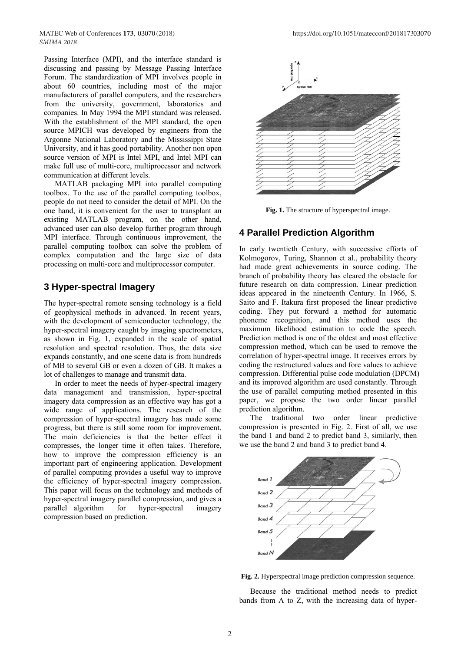Passing Interface (MPI), and the interface standard is discussing and passing by Message Passing Interface Forum. The standardization of MPI involves people in about 60 countries, including most of the major manufacturers of parallel computers, and the researchers from the university, government, laboratories and companies. In May 1994 the MPI standard was released. With the establishment of the MPI standard, the open source MPICH was developed by engineers from the Argonne National Laboratory and the Mississippi State University, and it has good portability. Another non open source version of MPI is Intel MPI, and Intel MPI can make full use of multi-core, multiprocessor and network communication at different levels.

MATLAB packaging MPI into parallel computing toolbox. To the use of the parallel computing toolbox, people do not need to consider the detail of MPI. On the one hand, it is convenient for the user to transplant an existing MATLAB program, on the other hand, advanced user can also develop further program through MPI interface. Through continuous improvement, the parallel computing toolbox can solve the problem of complex computation and the large size of data processing on multi-core and multiprocessor computer.

## **3 Hyper-spectral Imagery**

The hyper-spectral remote sensing technology is a field of geophysical methods in advanced. In recent years, with the development of semiconductor technology, the hyper-spectral imagery caught by imaging spectrometers, as shown in Fig. 1, expanded in the scale of spatial resolution and spectral resolution. Thus, the data size expands constantly, and one scene data is from hundreds of MB to several GB or even a dozen of GB. It makes a lot of challenges to manage and transmit data.

In order to meet the needs of hyper-spectral imagery data management and transmission, hyper-spectral imagery data compression as an effective way has got a wide range of applications. The research of the compression of hyper-spectral imagery has made some progress, but there is still some room for improvement. The main deficiencies is that the better effect it compresses, the longer time it often takes. Therefore, how to improve the compression efficiency is an important part of engineering application. Development of parallel computing provides a useful way to improve the efficiency of hyper-spectral imagery compression. This paper will focus on the technology and methods of hyper-spectral imagery parallel compression, and gives a parallel algorithm for hyper-spectral imagery compression based on prediction.



**Fig. 1.** The structure of hyperspectral image.

## **4 Parallel Prediction Algorithm**

In early twentieth Century, with successive efforts of Kolmogorov, Turing, Shannon et al., probability theory had made great achievements in source coding. The branch of probability theory has cleared the obstacle for future research on data compression. Linear prediction ideas appeared in the nineteenth Century. In 1966, S. Saito and F. Itakura first proposed the linear predictive coding. They put forward a method for automatic phoneme recognition, and this method uses the maximum likelihood estimation to code the speech. Prediction method is one of the oldest and most effective compression method, which can be used to remove the correlation of hyper-spectral image. It receives errors by coding the restructured values and fore values to achieve compression. Differential pulse code modulation (DPCM) and its improved algorithm are used constantly. Through the use of parallel computing method presented in this paper, we propose the two order linear parallel prediction algorithm.

The traditional two order linear predictive compression is presented in Fig. 2. First of all, we use the band 1 and band 2 to predict band 3, similarly, then we use the band 2 and band 3 to predict band 4.



**Fig. 2.** Hyperspectral image prediction compression sequence.

Because the traditional method needs to predict bands from A to Z, with the increasing data of hyper-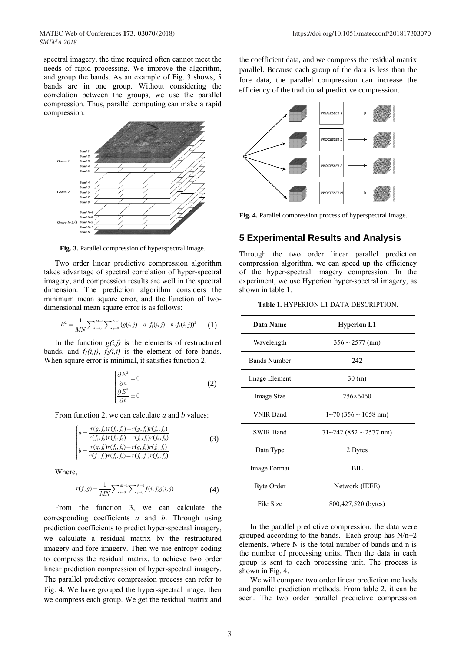spectral imagery, the time required often cannot meet the needs of rapid processing. We improve the algorithm, and group the bands. As an example of Fig. 3 shows, 5 bands are in one group. Without considering the correlation between the groups, we use the parallel compression. Thus, parallel computing can make a rapid compression.



**Fig. 3.** Parallel compression of hyperspectral image.

Two order linear predictive compression algorithm takes advantage of spectral correlation of hyper-spectral imagery, and compression results are well in the spectral dimension. The prediction algorithm considers the minimum mean square error, and the function of two-

dimensional mean square error is as follows:  
\n
$$
E^2 = \frac{1}{MN} \sum_{i=0}^{M-1} \sum_{j=0}^{N-1} (g(i,j) - a \cdot f_1(i,j) - b \cdot f_2(i,j))^2
$$
\n(1)

In the function  $g(i,j)$  is the elements of restructured bands, and  $f_l(i,j)$ ,  $f_2(i,j)$  is the element of fore bands. When square error is minimal, it satisfies function 2.

$$
\begin{cases}\n\frac{\partial E^2}{\partial a} = 0\\ \n\frac{\partial E^2}{\partial b} = 0\n\end{cases}
$$
\n(2)

From function 2, we can calculate *a* and *b* values:

$$
\begin{cases}\na = \frac{r(g, f_2)r(f_1, f_2) - r(g, f_1)r(f_2, f_2)}{r(f_1, f_2)r(f_1, f_2) - r(f_1, f_1)r(f_2, f_2)} \\
b = \frac{r(g, f_1)r(f_1, f_2) - r(g, f_2)r(f_1, f_1)}{r(f_1, f_2)r(f_1, f_2) - r(f_1, f_1)r(f_2, f_2)}\n\end{cases} \tag{3}
$$

Where,

$$
r(f,g) = \frac{1}{MN} \sum_{i=0}^{M-1} \sum_{j=0}^{N-1} f(i,j)g(i,j)
$$
(4)

From the function 3, we can calculate the corresponding coefficients *a* and *b*. Through using prediction coefficients to predict hyper-spectral imagery, we calculate a residual matrix by the restructured imagery and fore imagery. Then we use entropy coding to compress the residual matrix, to achieve two order linear prediction compression of hyper-spectral imagery. The parallel predictive compression process can refer to Fig. 4. We have grouped the hyper-spectral image, then we compress each group. We get the residual matrix and

the coefficient data, and we compress the residual matrix parallel. Because each group of the data is less than the fore data, the parallel compression can increase the efficiency of the traditional predictive compression.



**Fig. 4.** Parallel compression process of hyperspectral image.

#### **5 Experimental Results and Analysis**

Through the two order linear parallel prediction compression algorithm, we can speed up the efficiency of the hyper-spectral imagery compression. In the experiment, we use Hyperion hyper-spectral imagery, as shown in table 1.

|  |  | Table 1. HYPERION L1 DATA DESCRIPTION. |  |  |
|--|--|----------------------------------------|--|--|
|--|--|----------------------------------------|--|--|

| Data Name           | <b>Hyperion L1</b>                       |  |
|---------------------|------------------------------------------|--|
| Wavelength          | $356 \sim 2577$ (nm)                     |  |
| <b>Bands Number</b> | 242                                      |  |
| Image Element       | 30(m)                                    |  |
| Image Size          | $256 \times 6460$                        |  |
| <b>VNIR Band</b>    | $1 \sim 70$ (356 $\sim 1058$ nm)         |  |
| <b>SWIR Band</b>    | $71 \sim 242 (852 \sim 2577 \text{ nm})$ |  |
| Data Type           | 2 Bytes                                  |  |
| Image Format        | BIL.                                     |  |
| <b>Byte Order</b>   | Network (IEEE)                           |  |
| File Size           | 800,427,520 (bytes)                      |  |

In the parallel predictive compression, the data were grouped according to the bands. Each group has  $N/n+2$ elements, where N is the total number of bands and n is the number of processing units. Then the data in each group is sent to each processing unit. The process is shown in Fig. 4.

We will compare two order linear prediction methods and parallel prediction methods. From table 2, it can be seen. The two order parallel predictive compression